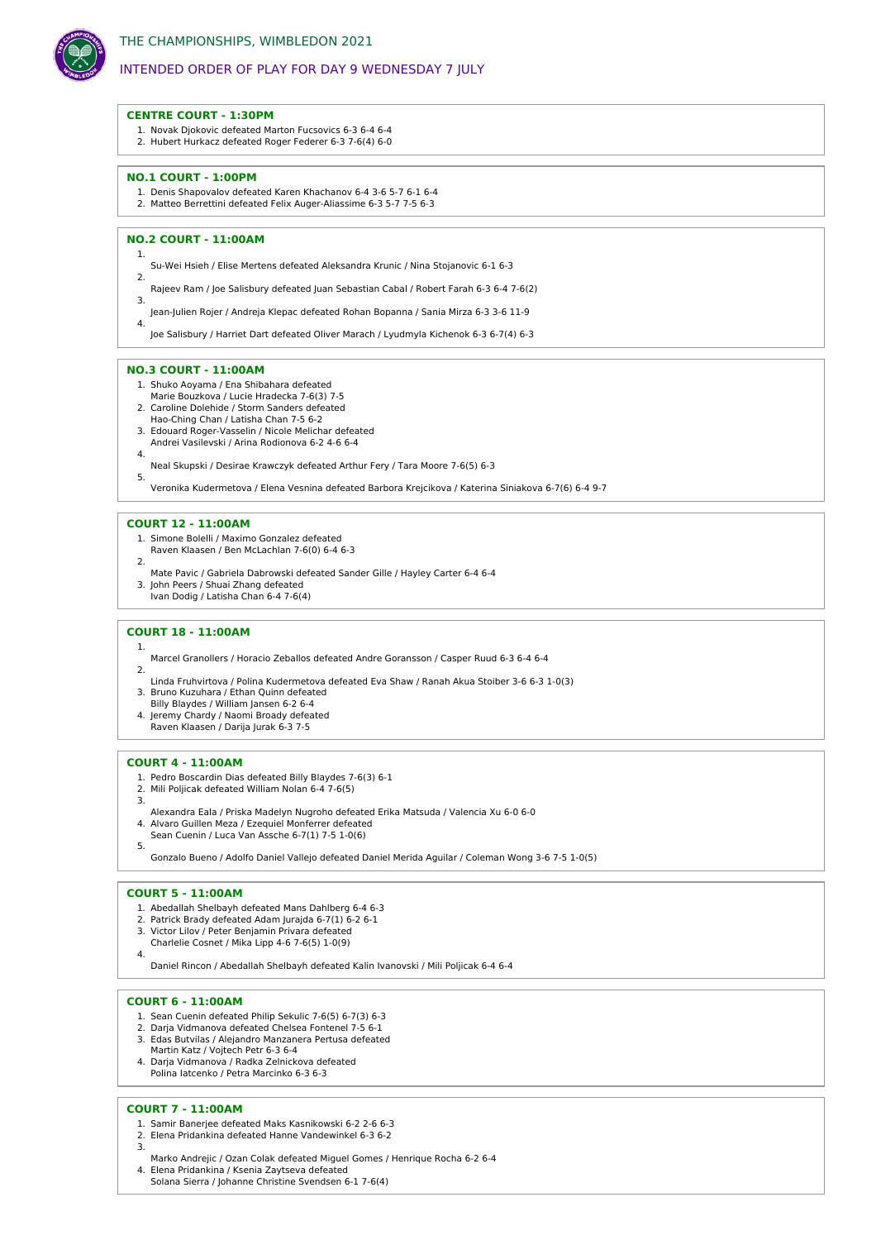

# INTENDED ORDER OF PLAY FOR DAY 9 WEDNESDAY 7 JULY

# **CENTRE COURT - 1:30PM**

- 1. Novak Djokovic defeated Marton Fucsovics 6-3 6-4 6-4
- 2. Hubert Hurkacz defeated Roger Federer 6-3 7-6(4) 6-0

#### **NO.1 COURT - 1:00PM**

- 1. Denis Shapovalov defeated Karen Khachanov 6-4 3-6 5-7 6-1 6-4
- 2. Matteo Berrettini defeated Felix Auger-Aliassime 6-3 5-7 7-5 6-3

# **NO.2 COURT - 11:00AM**

1.

4.

4.

5.

1.

2.

3.

- Su-Wei Hsieh / Elise Mertens defeated Aleksandra Krunic / Nina Stojanovic 6-1 6-3 2.
- Rajeev Ram / Joe Salisbury defeated Juan Sebastian Cabal / Robert Farah 6-3 6-4 7-6(2) 3.
- Jean-Julien Rojer / Andreja Klepac defeated Rohan Bopanna / Sania Mirza 6-3 3-6 11-9
- Joe Salisbury / Harriet Dart defeated Oliver Marach / Lyudmyla Kichenok 6-3 6-7(4) 6-3

#### **NO.3 COURT - 11:00AM**

- 1. Shuko Aoyama / Ena Shibahara defeated
- Marie Bouzkova / Lucie Hradecka 7-6(3) 7-5
- 2. Caroline Dolehide / Storm Sanders defeated
- Hao-Ching Chan / Latisha Chan 7-5 6-2 3. Edouard Roger-Vasselin / Nicole Melichar defeated
- Andrei Vasilevski / Arina Rodionova 6-2 4-6 6-4
- Neal Skupski / Desirae Krawczyk defeated Arthur Fery / Tara Moore 7-6(5) 6-3

Veronika Kudermetova / Elena Vesnina defeated Barbora Krejcikova / Katerina Siniakova 6-7(6) 6-4 9-7

# **COURT 12 - 11:00AM**

- 1. Simone Bolelli / Maximo Gonzalez defeated
- Raven Klaasen / Ben McLachlan 7-6(0) 6-4 6-3
- 2. Mate Pavic / Gabriela Dabrowski defeated Sander Gille / Hayley Carter 6-4 6-4
- 3. John Peers / Shuai Zhang defeated Ivan Dodig / Latisha Chan 6-4 7-6(4)
- 

# **COURT 18 - 11:00AM**

- Marcel Granollers / Horacio Zeballos defeated Andre Goransson / Casper Ruud 6-3 6-4 6-4
- Linda Fruhvirtova / Polina Kudermetova defeated Eva Shaw / Ranah Akua Stoiber 3-6 6-3 1-0(3)
- 3. Bruno Kuzuhara / Ethan Quinn defeated Billy Blaydes / William Jansen 6-2 6-4
- 4. Jeremy Chardy / Naomi Broady defeated
- Raven Klaasen / Darija Jurak 6-3 7-5

# **COURT 4 - 11:00AM**

- 1. Pedro Boscardin Dias defeated Billy Blaydes 7-6(3) 6-1
- 2. Mili Poljicak defeated William Nolan 6-4 7-6(5)
- Alexandra Eala / Priska Madelyn Nugroho defeated Erika Matsuda / Valencia Xu 6-0 6-0
- 4. Alvaro Guillen Meza / Ezequiel Monferrer defeated
- Sean Cuenin / Luca Van Assche 6-7(1) 7-5 1-0(6) 5.

Gonzalo Bueno / Adolfo Daniel Vallejo defeated Daniel Merida Aguilar / Coleman Wong 3-6 7-5 1-0(5)

#### **COURT 5 - 11:00AM**

- 1. Abedallah Shelbayh defeated Mans Dahlberg 6-4 6-3
- 2. Patrick Brady defeated Adam Jurajda 6-7(1) 6-2 6-1 3. Victor Lilov / Peter Benjamin Privara defeated
- 
- Charlelie Cosnet / Mika Lipp 4-6 7-6(5) 1-0(9) 4.

Daniel Rincon / Abedallah Shelbayh defeated Kalin Ivanovski / Mili Poljicak 6-4 6-4

#### **COURT 6 - 11:00AM**

- 1. Sean Cuenin defeated Philip Sekulic 7-6(5) 6-7(3) 6-3
- 2. Darja Vidmanova defeated Chelsea Fontenel 7-5 6-1
- 3. Edas Butvilas / Alejandro Manzanera Pertusa defeated
- Martin Katz / Vojtech Petr 6-3 6-4
- 4. Darja Vidmanova / Radka Zelnickova defeated Polina Iatcenko / Petra Marcinko 6-3 6-3

#### **COURT 7 - 11:00AM**

- 1. Samir Banerjee defeated Maks Kasnikowski 6-2 2-6 6-3
- 2. Elena Pridankina defeated Hanne Vandewinkel 6-3 6-2 3.
- Marko Andrejic / Ozan Colak defeated Miguel Gomes / Henrique Rocha 6-2 6-4 4. Elena Pridankina / Ksenia Zaytseva defeated
- Solana Sierra / Johanne Christine Svendsen 6-1 7-6(4)